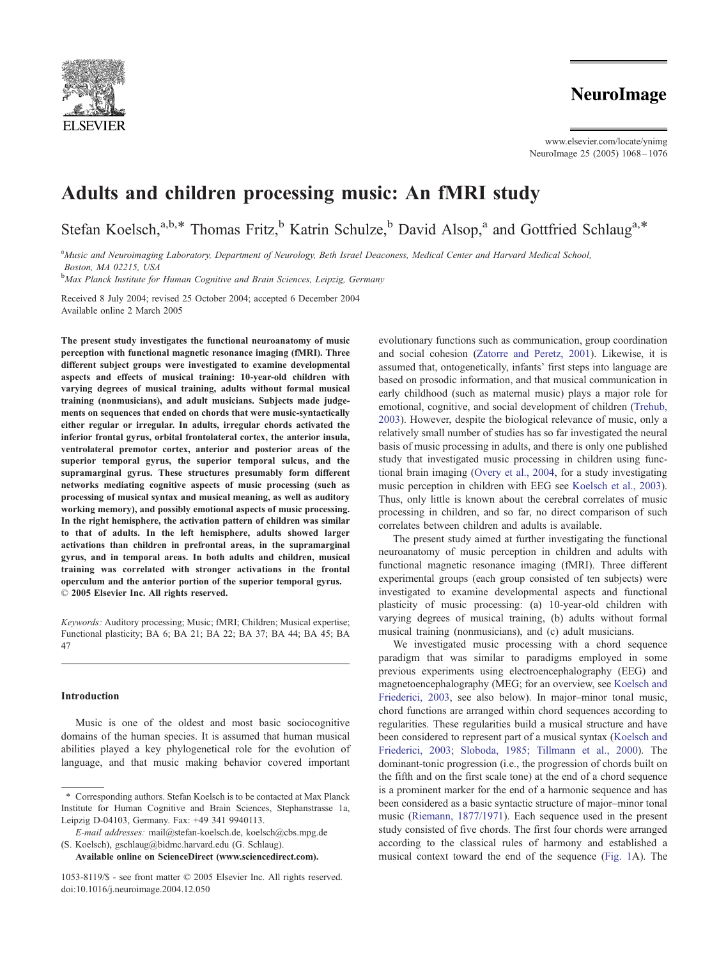

www.elsevier.com/locate/ynimg NeuroImage 25 (2005) 1068 – 1076

# Adults and children processing music: An fMRI study

Stefan Koelsch,<sup>a,b,\*</sup> Thomas Fritz,<sup>b</sup> Katrin Schulze,<sup>b</sup> David Alsop,<sup>a</sup> and Gottfried Schlaug<sup>a,\*</sup>

a<br>Music and Neuroimaging Laboratory, Department of Neurology, Beth Israel Deaconess, Medical Center and Harvard Medical School, Boston, MA 02215, USA

<sup>b</sup>Max Planck Institute for Human Cognitive and Brain Sciences, Leipzig, Germany

Received 8 July 2004; revised 25 October 2004; accepted 6 December 2004 Available online 2 March 2005

The present study investigates the functional neuroanatomy of music perception with functional magnetic resonance imaging (fMRI). Three different subject groups were investigated to examine developmental aspects and effects of musical training: 10-year-old children with varying degrees of musical training, adults without formal musical training (nonmusicians), and adult musicians. Subjects made judgements on sequences that ended on chords that were music-syntactically either regular or irregular. In adults, irregular chords activated the inferior frontal gyrus, orbital frontolateral cortex, the anterior insula, ventrolateral premotor cortex, anterior and posterior areas of the superior temporal gyrus, the superior temporal sulcus, and the supramarginal gyrus. These structures presumably form different networks mediating cognitive aspects of music processing (such as processing of musical syntax and musical meaning, as well as auditory working memory), and possibly emotional aspects of music processing. In the right hemisphere, the activation pattern of children was similar to that of adults. In the left hemisphere, adults showed larger activations than children in prefrontal areas, in the supramarginal gyrus, and in temporal areas. In both adults and children, musical training was correlated with stronger activations in the frontal operculum and the anterior portion of the superior temporal gyrus. © 2005 Elsevier Inc. All rights reserved.

Keywords: Auditory processing; Music; fMRI; Children; Musical expertise; Functional plasticity; BA 6; BA 21; BA 22; BA 37; BA 44; BA 45; BA 47

## Introduction

Music is one of the oldest and most basic sociocognitive domains of the human species. It is assumed that human musical abilities played a key phylogenetical role for the evolution of language, and that music making behavior covered important

Available online on ScienceDirect (www.sciencedirect.com).

evolutionary functions such as communication, group coordination and social cohesion ([Zatorre and Peretz, 2001\)](#page-8-0). Likewise, it is assumed that, ontogenetically, infants' first steps into language are based on prosodic information, and that musical communication in early childhood (such as maternal music) plays a major role for emotional, cognitive, and social development of children ([Trehub,](#page-8-0) 2003). However, despite the biological relevance of music, only a relatively small number of studies has so far investigated the neural basis of music processing in adults, and there is only one published study that investigated music processing in children using functional brain imaging ([Overy et al., 2004,](#page-8-0) for a study investigating music perception in children with EEG see [Koelsch et al., 2003\)](#page-7-0). Thus, only little is known about the cerebral correlates of music processing in children, and so far, no direct comparison of such correlates between children and adults is available.

The present study aimed at further investigating the functional neuroanatomy of music perception in children and adults with functional magnetic resonance imaging (fMRI). Three different experimental groups (each group consisted of ten subjects) were investigated to examine developmental aspects and functional plasticity of music processing: (a) 10-year-old children with varying degrees of musical training, (b) adults without formal musical training (nonmusicians), and (c) adult musicians.

We investigated music processing with a chord sequence paradigm that was similar to paradigms employed in some previous experiments using electroencephalography (EEG) and magnetoencephalography (MEG; for an overview, see [Koelsch and](#page-7-0) Friederici, 2003, see also below). In major–minor tonal music, chord functions are arranged within chord sequences according to regularities. These regularities build a musical structure and have been considered to represent part of a musical syntax ([Koelsch and](#page-7-0) Friederici, 2003; Sloboda, 1985; Tillmann et al., 2000). The dominant-tonic progression (i.e., the progression of chords built on the fifth and on the first scale tone) at the end of a chord sequence is a prominent marker for the end of a harmonic sequence and has been considered as a basic syntactic structure of major–minor tonal music ([Riemann, 1877/1971\)](#page-8-0). Each sequence used in the present study consisted of five chords. The first four chords were arranged according to the classical rules of harmony and established a musical context toward the end of the sequence ([Fig. 1A](#page-1-0)). The

<sup>\*</sup> Corresponding authors. Stefan Koelsch is to be contacted at Max Planck Institute for Human Cognitive and Brain Sciences, Stephanstrasse 1a, Leipzig D-04103, Germany. Fax: +49 341 9940113.

E-mail addresses: mail@stefan-koelsch.de, koelsch@cbs.mpg.de (S. Koelsch), gschlaug@bidmc.harvard.edu (G. Schlaug).

<sup>1053-8119/\$ -</sup> see front matter © 2005 Elsevier Inc. All rights reserved. doi:10.1016/j.neuroimage.2004.12.050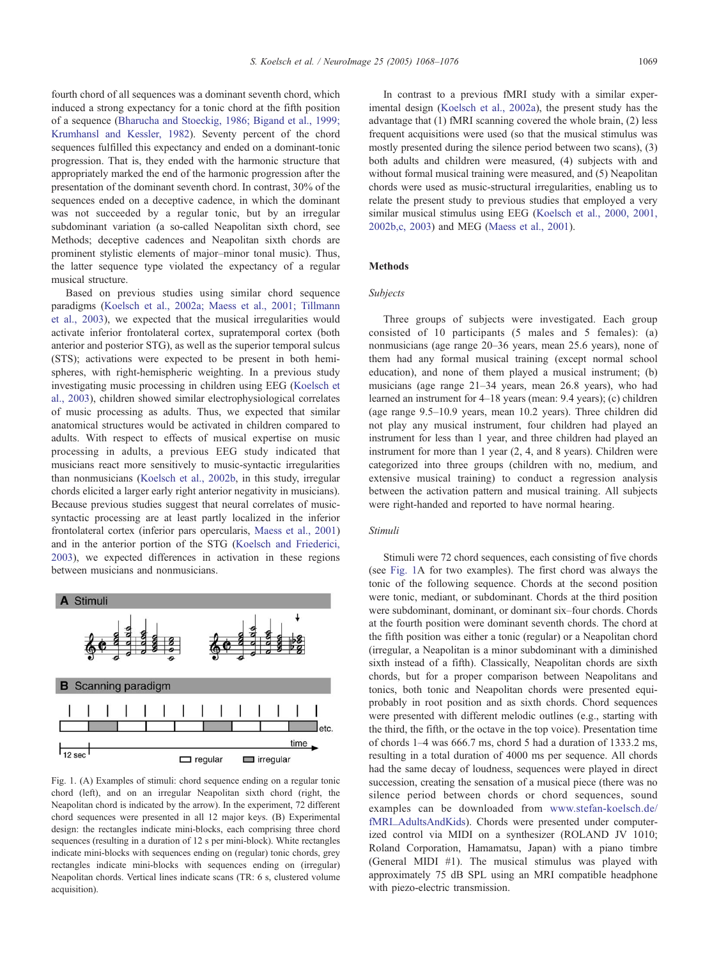<span id="page-1-0"></span>fourth chord of all sequences was a dominant seventh chord, which induced a strong expectancy for a tonic chord at the fifth position of a sequence ([Bharucha and Stoeckig, 1986; Bigand et al., 1999;](#page-7-0) Krumhansl and Kessler, 1982). Seventy percent of the chord sequences fulfilled this expectancy and ended on a dominant-tonic progression. That is, they ended with the harmonic structure that appropriately marked the end of the harmonic progression after the presentation of the dominant seventh chord. In contrast, 30% of the sequences ended on a deceptive cadence, in which the dominant was not succeeded by a regular tonic, but by an irregular subdominant variation (a so-called Neapolitan sixth chord, see Methods; deceptive cadences and Neapolitan sixth chords are prominent stylistic elements of major–minor tonal music). Thus, the latter sequence type violated the expectancy of a regular musical structure.

Based on previous studies using similar chord sequence paradigms ([Koelsch et al., 2002a; Maess et al., 2001; Tillmann](#page-7-0) et al., 2003), we expected that the musical irregularities would activate inferior frontolateral cortex, supratemporal cortex (both anterior and posterior STG), as well as the superior temporal sulcus (STS); activations were expected to be present in both hemispheres, with right-hemispheric weighting. In a previous study investigating music processing in children using EEG ([Koelsch et](#page-7-0) al., 2003), children showed similar electrophysiological correlates of music processing as adults. Thus, we expected that similar anatomical structures would be activated in children compared to adults. With respect to effects of musical expertise on music processing in adults, a previous EEG study indicated that musicians react more sensitively to music-syntactic irregularities than nonmusicians ([Koelsch et al., 2002b,](#page-7-0) in this study, irregular chords elicited a larger early right anterior negativity in musicians). Because previous studies suggest that neural correlates of musicsyntactic processing are at least partly localized in the inferior frontolateral cortex (inferior pars opercularis, [Maess et al., 2001\)](#page-7-0) and in the anterior portion of the STG ([Koelsch and Friederici,](#page-7-0) 2003), we expected differences in activation in these regions between musicians and nonmusicians.



Fig. 1. (A) Examples of stimuli: chord sequence ending on a regular tonic chord (left), and on an irregular Neapolitan sixth chord (right, the Neapolitan chord is indicated by the arrow). In the experiment, 72 different chord sequences were presented in all 12 major keys. (B) Experimental design: the rectangles indicate mini-blocks, each comprising three chord sequences (resulting in a duration of 12 s per mini-block). White rectangles indicate mini-blocks with sequences ending on (regular) tonic chords, grey rectangles indicate mini-blocks with sequences ending on (irregular) Neapolitan chords. Vertical lines indicate scans (TR: 6 s, clustered volume acquisition).

In contrast to a previous fMRI study with a similar experimental design ([Koelsch et al., 2002a\)](#page-7-0), the present study has the advantage that (1) fMRI scanning covered the whole brain, (2) less frequent acquisitions were used (so that the musical stimulus was mostly presented during the silence period between two scans), (3) both adults and children were measured, (4) subjects with and without formal musical training were measured, and (5) Neapolitan chords were used as music-structural irregularities, enabling us to relate the present study to previous studies that employed a very similar musical stimulus using EEG ([Koelsch et al., 2000, 2001,](#page-7-0) 2002b,c, 2003) and MEG ([Maess et al., 2001\)](#page-7-0).

# Methods

## Subjects

Three groups of subjects were investigated. Each group consisted of 10 participants (5 males and 5 females): (a) nonmusicians (age range 20–36 years, mean 25.6 years), none of them had any formal musical training (except normal school education), and none of them played a musical instrument; (b) musicians (age range 21–34 years, mean 26.8 years), who had learned an instrument for 4–18 years (mean: 9.4 years); (c) children (age range 9.5–10.9 years, mean 10.2 years). Three children did not play any musical instrument, four children had played an instrument for less than 1 year, and three children had played an instrument for more than 1 year (2, 4, and 8 years). Children were categorized into three groups (children with no, medium, and extensive musical training) to conduct a regression analysis between the activation pattern and musical training. All subjects were right-handed and reported to have normal hearing.

# Stimuli

Stimuli were 72 chord sequences, each consisting of five chords (see Fig. 1A for two examples). The first chord was always the tonic of the following sequence. Chords at the second position were tonic, mediant, or subdominant. Chords at the third position were subdominant, dominant, or dominant six–four chords. Chords at the fourth position were dominant seventh chords. The chord at the fifth position was either a tonic (regular) or a Neapolitan chord (irregular, a Neapolitan is a minor subdominant with a diminished sixth instead of a fifth). Classically, Neapolitan chords are sixth chords, but for a proper comparison between Neapolitans and tonics, both tonic and Neapolitan chords were presented equiprobably in root position and as sixth chords. Chord sequences were presented with different melodic outlines (e.g., starting with the third, the fifth, or the octave in the top voice). Presentation time of chords 1–4 was 666.7 ms, chord 5 had a duration of 1333.2 ms, resulting in a total duration of 4000 ms per sequence. All chords had the same decay of loudness, sequences were played in direct succession, creating the sensation of a musical piece (there was no silence period between chords or chord sequences, sound examples can be downloaded from [www.stefan-koelsch.de/]( http:www.stefan-koelsch.de ) fMRI\_AdultsAndKids). Chords were presented under computerized control via MIDI on a synthesizer (ROLAND JV 1010; Roland Corporation, Hamamatsu, Japan) with a piano timbre (General MIDI #1). The musical stimulus was played with approximately 75 dB SPL using an MRI compatible headphone with piezo-electric transmission.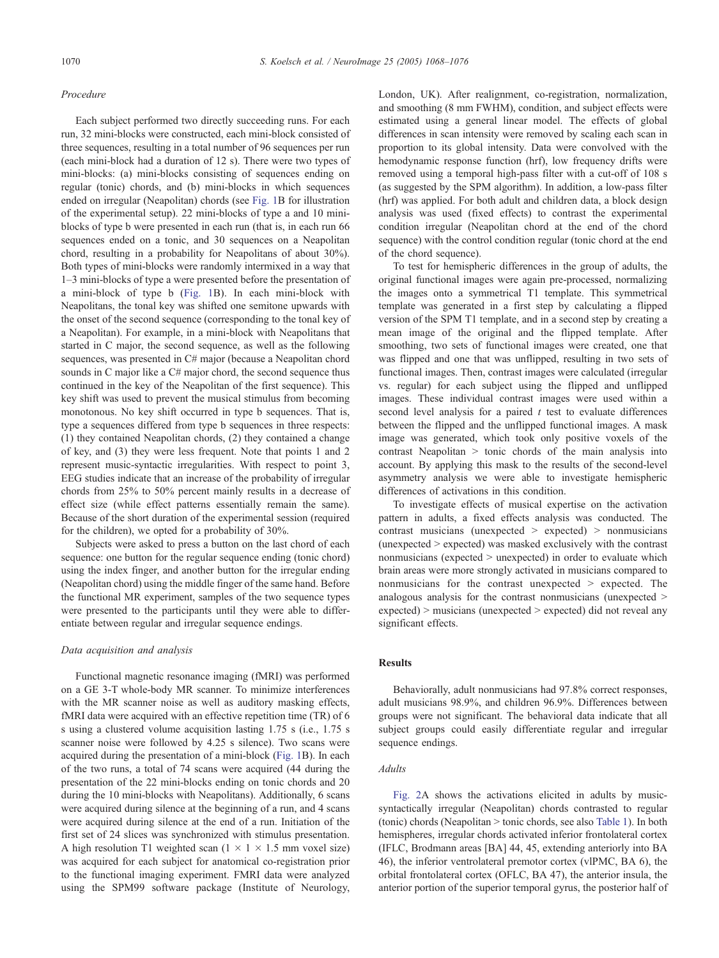#### Procedure

Each subject performed two directly succeeding runs. For each run, 32 mini-blocks were constructed, each mini-block consisted of three sequences, resulting in a total number of 96 sequences per run (each mini-block had a duration of 12 s). There were two types of mini-blocks: (a) mini-blocks consisting of sequences ending on regular (tonic) chords, and (b) mini-blocks in which sequences ended on irregular (Neapolitan) chords (see [Fig. 1B](#page-1-0) for illustration of the experimental setup). 22 mini-blocks of type a and 10 miniblocks of type b were presented in each run (that is, in each run 66 sequences ended on a tonic, and 30 sequences on a Neapolitan chord, resulting in a probability for Neapolitans of about 30%). Both types of mini-blocks were randomly intermixed in a way that 1–3 mini-blocks of type a were presented before the presentation of a mini-block of type b ([Fig. 1B](#page-1-0)). In each mini-block with Neapolitans, the tonal key was shifted one semitone upwards with the onset of the second sequence (corresponding to the tonal key of a Neapolitan). For example, in a mini-block with Neapolitans that started in C major, the second sequence, as well as the following sequences, was presented in C# major (because a Neapolitan chord sounds in C major like a C# major chord, the second sequence thus continued in the key of the Neapolitan of the first sequence). This key shift was used to prevent the musical stimulus from becoming monotonous. No key shift occurred in type b sequences. That is, type a sequences differed from type b sequences in three respects: (1) they contained Neapolitan chords, (2) they contained a change of key, and (3) they were less frequent. Note that points 1 and 2 represent music-syntactic irregularities. With respect to point 3, EEG studies indicate that an increase of the probability of irregular chords from 25% to 50% percent mainly results in a decrease of effect size (while effect patterns essentially remain the same). Because of the short duration of the experimental session (required for the children), we opted for a probability of 30%.

Subjects were asked to press a button on the last chord of each sequence: one button for the regular sequence ending (tonic chord) using the index finger, and another button for the irregular ending (Neapolitan chord) using the middle finger of the same hand. Before the functional MR experiment, samples of the two sequence types were presented to the participants until they were able to differentiate between regular and irregular sequence endings.

## Data acquisition and analysis

Functional magnetic resonance imaging (fMRI) was performed on a GE 3-T whole-body MR scanner. To minimize interferences with the MR scanner noise as well as auditory masking effects, fMRI data were acquired with an effective repetition time (TR) of 6 s using a clustered volume acquisition lasting 1.75 s (i.e., 1.75 s scanner noise were followed by 4.25 s silence). Two scans were acquired during the presentation of a mini-block ([Fig. 1B](#page-1-0)). In each of the two runs, a total of 74 scans were acquired (44 during the presentation of the 22 mini-blocks ending on tonic chords and 20 during the 10 mini-blocks with Neapolitans). Additionally, 6 scans were acquired during silence at the beginning of a run, and 4 scans were acquired during silence at the end of a run. Initiation of the first set of 24 slices was synchronized with stimulus presentation. A high resolution T1 weighted scan  $(1 \times 1 \times 1.5 \text{ mm})$  voxel size) was acquired for each subject for anatomical co-registration prior to the functional imaging experiment. FMRI data were analyzed using the SPM99 software package (Institute of Neurology,

London, UK). After realignment, co-registration, normalization, and smoothing (8 mm FWHM), condition, and subject effects were estimated using a general linear model. The effects of global differences in scan intensity were removed by scaling each scan in proportion to its global intensity. Data were convolved with the hemodynamic response function (hrf), low frequency drifts were removed using a temporal high-pass filter with a cut-off of 108 s (as suggested by the SPM algorithm). In addition, a low-pass filter (hrf) was applied. For both adult and children data, a block design analysis was used (fixed effects) to contrast the experimental condition irregular (Neapolitan chord at the end of the chord sequence) with the control condition regular (tonic chord at the end of the chord sequence).

To test for hemispheric differences in the group of adults, the original functional images were again pre-processed, normalizing the images onto a symmetrical T1 template. This symmetrical template was generated in a first step by calculating a flipped version of the SPM T1 template, and in a second step by creating a mean image of the original and the flipped template. After smoothing, two sets of functional images were created, one that was flipped and one that was unflipped, resulting in two sets of functional images. Then, contrast images were calculated (irregular vs. regular) for each subject using the flipped and unflipped images. These individual contrast images were used within a second level analysis for a paired  $t$  test to evaluate differences between the flipped and the unflipped functional images. A mask image was generated, which took only positive voxels of the contrast Neapolitan  $>$  tonic chords of the main analysis into account. By applying this mask to the results of the second-level asymmetry analysis we were able to investigate hemispheric differences of activations in this condition.

To investigate effects of musical expertise on the activation pattern in adults, a fixed effects analysis was conducted. The contrast musicians (unexpected  $\ge$  expected)  $\ge$  nonmusicians  $(unexpected > expected)$  was masked exclusively with the contrast nonmusicians (expected  $>$  unexpected) in order to evaluate which brain areas were more strongly activated in musicians compared to nonmusicians for the contrast unexpected  $>$  expected. The analogous analysis for the contrast nonmusicians (unexpected  $\geq$  $e$ xpected)  $>$  musicians (unexpected  $>$  expected) did not reveal any significant effects.

#### Results

Behaviorally, adult nonmusicians had 97.8% correct responses, adult musicians 98.9%, and children 96.9%. Differences between groups were not significant. The behavioral data indicate that all subject groups could easily differentiate regular and irregular sequence endings.

## Adults

[Fig. 2A](#page-3-0) shows the activations elicited in adults by musicsyntactically irregular (Neapolitan) chords contrasted to regular (tonic) chords (Neapolitan > tonic chords, see also [Table 1\)](#page-3-0). In both hemispheres, irregular chords activated inferior frontolateral cortex (IFLC, Brodmann areas [BA] 44, 45, extending anteriorly into BA 46), the inferior ventrolateral premotor cortex (vlPMC, BA 6), the orbital frontolateral cortex (OFLC, BA 47), the anterior insula, the anterior portion of the superior temporal gyrus, the posterior half of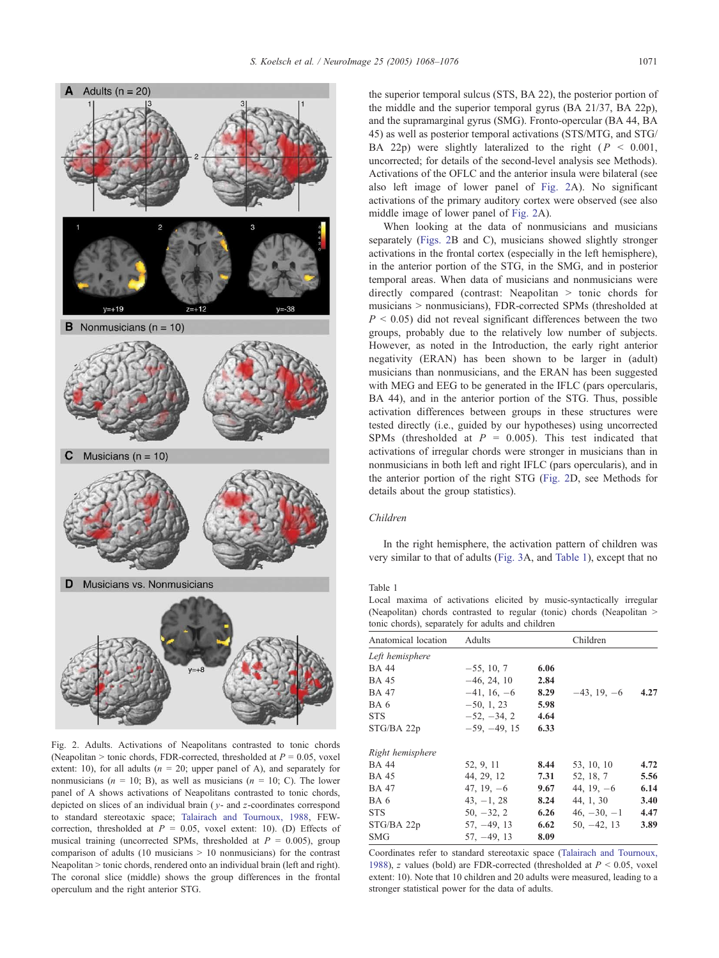<span id="page-3-0"></span>

Fig. 2. Adults. Activations of Neapolitans contrasted to tonic chords (Neapolitan  $>$  tonic chords, FDR-corrected, thresholded at  $P = 0.05$ , voxel extent: 10), for all adults ( $n = 20$ ; upper panel of A), and separately for nonmusicians ( $n = 10$ ; B), as well as musicians ( $n = 10$ ; C). The lower panel of A shows activations of Neapolitans contrasted to tonic chords, depicted on slices of an individual brain  $(v)$ - and z-coordinates correspond to standard stereotaxic space; [Talairach and Tournoux, 1988,](#page-8-0) FEWcorrection, thresholded at  $P = 0.05$ , voxel extent: 10). (D) Effects of musical training (uncorrected SPMs, thresholded at  $P = 0.005$ ), group comparison of adults (10 musicians  $> 10$  nonmusicians) for the contrast Neapolitan > tonic chords, rendered onto an individual brain (left and right). The coronal slice (middle) shows the group differences in the frontal operculum and the right anterior STG.

the superior temporal sulcus (STS, BA 22), the posterior portion of the middle and the superior temporal gyrus (BA 21/37, BA 22p), and the supramarginal gyrus (SMG). Fronto-opercular (BA 44, BA 45) as well as posterior temporal activations (STS/MTG, and STG/ BA 22p) were slightly lateralized to the right ( $P < 0.001$ , uncorrected; for details of the second-level analysis see Methods). Activations of the OFLC and the anterior insula were bilateral (see also left image of lower panel of Fig. 2A). No significant activations of the primary auditory cortex were observed (see also middle image of lower panel of Fig. 2A).

When looking at the data of nonmusicians and musicians separately (Figs. 2B and C), musicians showed slightly stronger activations in the frontal cortex (especially in the left hemisphere), in the anterior portion of the STG, in the SMG, and in posterior temporal areas. When data of musicians and nonmusicians were directly compared (contrast: Neapolitan  $>$  tonic chords for musicians > nonmusicians), FDR-corrected SPMs (thresholded at  $P \le 0.05$ ) did not reveal significant differences between the two groups, probably due to the relatively low number of subjects. However, as noted in the Introduction, the early right anterior negativity (ERAN) has been shown to be larger in (adult) musicians than nonmusicians, and the ERAN has been suggested with MEG and EEG to be generated in the IFLC (pars opercularis, BA 44), and in the anterior portion of the STG. Thus, possible activation differences between groups in these structures were tested directly (i.e., guided by our hypotheses) using uncorrected SPMs (thresholded at  $P = 0.005$ ). This test indicated that activations of irregular chords were stronger in musicians than in nonmusicians in both left and right IFLC (pars opercularis), and in the anterior portion of the right STG (Fig. 2D, see Methods for details about the group statistics).

# Children

In the right hemisphere, the activation pattern of children was very similar to that of adults ([Fig. 3A](#page-4-0), and Table 1), except that no

Table 1

Local maxima of activations elicited by music-syntactically irregular (Neapolitan) chords contrasted to regular (tonic) chords (Neapolitan  $>$ tonic chords), separately for adults and children

| Anatomical location | Adults         |      | Children      |      |
|---------------------|----------------|------|---------------|------|
| Left hemisphere     |                |      |               |      |
| <b>BA 44</b>        | $-55, 10, 7$   | 6.06 |               |      |
| <b>BA 45</b>        | $-46, 24, 10$  | 2.84 |               |      |
| <b>BA 47</b>        | $-41, 16, -6$  | 8.29 | $-43, 19, -6$ | 4.27 |
| BA 6                | $-50, 1, 23$   | 5.98 |               |      |
| <b>STS</b>          | $-52, -34, 2$  | 4.64 |               |      |
| STG/BA 22p          | $-59, -49, 15$ | 6.33 |               |      |
| Right hemisphere    |                |      |               |      |
| <b>BA</b> 44        | 52, 9, 11      | 8.44 | 53, 10, 10    | 4.72 |
| <b>BA 45</b>        | 44, 29, 12     | 7.31 | 52, 18, 7     | 5.56 |
| <b>BA 47</b>        | $47, 19, -6$   | 9.67 | 44, 19, $-6$  | 6.14 |
| BA 6                | $43, -1, 28$   | 8.24 | 44, 1, 30     | 3.40 |
| <b>STS</b>          | $50, -32, 2$   | 6.26 | $46, -30, -1$ | 4.47 |
| STG/BA 22p          | $57, -49, 13$  | 6.62 | $50, -42, 13$ | 3.89 |
| <b>SMG</b>          | $57, -49, 13$  | 8.09 |               |      |

Coordinates refer to standard stereotaxic space ([Talairach and Tournoux,](#page-8-0) 1988), z values (bold) are FDR-corrected (thresholded at  $P \le 0.05$ , voxel extent: 10). Note that 10 children and 20 adults were measured, leading to a stronger statistical power for the data of adults.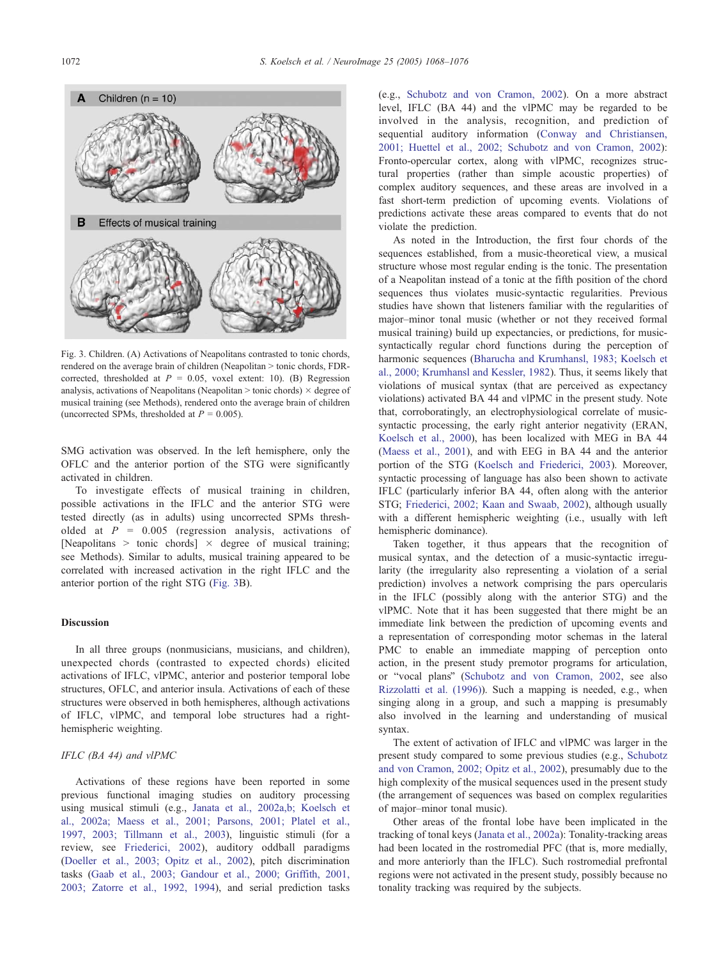<span id="page-4-0"></span>

Fig. 3. Children. (A) Activations of Neapolitans contrasted to tonic chords, rendered on the average brain of children (Neapolitan > tonic chords, FDRcorrected, thresholded at  $P = 0.05$ , voxel extent: 10). (B) Regression analysis, activations of Neapolitans (Neapolitan  $>$  tonic chords)  $\times$  degree of musical training (see Methods), rendered onto the average brain of children (uncorrected SPMs, thresholded at  $P = 0.005$ ).

SMG activation was observed. In the left hemisphere, only the OFLC and the anterior portion of the STG were significantly activated in children.

To investigate effects of musical training in children, possible activations in the IFLC and the anterior STG were tested directly (as in adults) using uncorrected SPMs thresholded at  $P = 0.005$  (regression analysis, activations of [Neapolitans > tonic chords]  $\times$  degree of musical training; see Methods). Similar to adults, musical training appeared to be correlated with increased activation in the right IFLC and the anterior portion of the right STG (Fig. 3B).

# Discussion

In all three groups (nonmusicians, musicians, and children), unexpected chords (contrasted to expected chords) elicited activations of IFLC, vlPMC, anterior and posterior temporal lobe structures, OFLC, and anterior insula. Activations of each of these structures were observed in both hemispheres, although activations of IFLC, vlPMC, and temporal lobe structures had a righthemispheric weighting.

## IFLC (BA 44) and vlPMC

Activations of these regions have been reported in some previous functional imaging studies on auditory processing using musical stimuli (e.g., [Janata et al., 2002a,b; Koelsch et](#page-7-0) al., 2002a; Maess et al., 2001; Parsons, 2001; Platel et al., 1997, 2003; Tillmann et al., 2003), linguistic stimuli (for a review, see [Friederici, 2002\)](#page-7-0), auditory oddball paradigms ([Doeller et al., 2003; Opitz et al., 2002\)](#page-7-0), pitch discrimination tasks ([Gaab et al., 2003; Gandour et al., 2000; Griffith, 2001,](#page-7-0) 2003; Zatorre et al., 1992, 1994), and serial prediction tasks

(e.g., [Schubotz and von Cramon, 2002\)](#page-8-0). On a more abstract level, IFLC (BA 44) and the vlPMC may be regarded to be involved in the analysis, recognition, and prediction of sequential auditory information ([Conway and Christiansen,](#page-7-0) 2001; Huettel et al., 2002; Schubotz and von Cramon, 2002): Fronto-opercular cortex, along with vlPMC, recognizes structural properties (rather than simple acoustic properties) of complex auditory sequences, and these areas are involved in a fast short-term prediction of upcoming events. Violations of predictions activate these areas compared to events that do not violate the prediction.

As noted in the Introduction, the first four chords of the sequences established, from a music-theoretical view, a musical structure whose most regular ending is the tonic. The presentation of a Neapolitan instead of a tonic at the fifth position of the chord sequences thus violates music-syntactic regularities. Previous studies have shown that listeners familiar with the regularities of major–minor tonal music (whether or not they received formal musical training) build up expectancies, or predictions, for musicsyntactically regular chord functions during the perception of harmonic sequences ([Bharucha and Krumhansl, 1983; Koelsch et](#page-7-0) al., 2000; Krumhansl and Kessler, 1982). Thus, it seems likely that violations of musical syntax (that are perceived as expectancy violations) activated BA 44 and vlPMC in the present study. Note that, corroboratingly, an electrophysiological correlate of musicsyntactic processing, the early right anterior negativity (ERAN, [Koelsch et al., 2000\)](#page-7-0), has been localized with MEG in BA 44 ([Maess et al., 2001\)](#page-7-0), and with EEG in BA 44 and the anterior portion of the STG ([Koelsch and Friederici, 2003\)](#page-7-0). Moreover, syntactic processing of language has also been shown to activate IFLC (particularly inferior BA 44, often along with the anterior STG; [Friederici, 2002; Kaan and Swaab, 2002\)](#page-7-0), although usually with a different hemispheric weighting (i.e., usually with left hemispheric dominance).

Taken together, it thus appears that the recognition of musical syntax, and the detection of a music-syntactic irregularity (the irregularity also representing a violation of a serial prediction) involves a network comprising the pars opercularis in the IFLC (possibly along with the anterior STG) and the vlPMC. Note that it has been suggested that there might be an immediate link between the prediction of upcoming events and a representation of corresponding motor schemas in the lateral PMC to enable an immediate mapping of perception onto action, in the present study premotor programs for articulation, or "vocal plans" ([Schubotz and von Cramon, 2002,](#page-8-0) see also [Rizzolatti et al. \(1996\)\)](#page-8-0). Such a mapping is needed, e.g., when singing along in a group, and such a mapping is presumably also involved in the learning and understanding of musical syntax.

The extent of activation of IFLC and vlPMC was larger in the present study compared to some previous studies (e.g., [Schubotz](#page-8-0) and von Cramon, 2002; Opitz et al., 2002), presumably due to the high complexity of the musical sequences used in the present study (the arrangement of sequences was based on complex regularities of major–minor tonal music).

Other areas of the frontal lobe have been implicated in the tracking of tonal keys ([Janata et al., 2002a\)](#page-7-0): Tonality-tracking areas had been located in the rostromedial PFC (that is, more medially, and more anteriorly than the IFLC). Such rostromedial prefrontal regions were not activated in the present study, possibly because no tonality tracking was required by the subjects.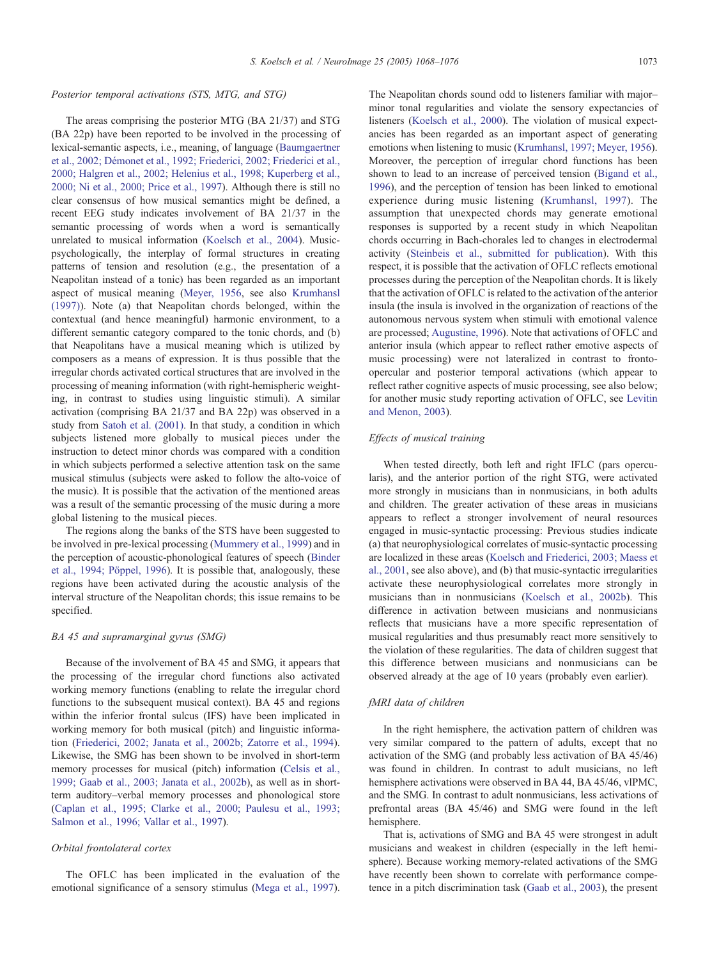#### Posterior temporal activations (STS, MTG, and STG)

The areas comprising the posterior MTG (BA 21/37) and STG (BA 22p) have been reported to be involved in the processing of lexical-semantic aspects, i.e., meaning, of language ([Baumgaertner](#page-7-0) et al., 2002; Démonet et al., 1992; Friederici, 2002; Friederici et al., 2000; Halgren et al., 2002; Helenius et al., 1998; Kuperberg et al., 2000; Ni et al., 2000; Price et al., 1997). Although there is still no clear consensus of how musical semantics might be defined, a recent EEG study indicates involvement of BA 21/37 in the semantic processing of words when a word is semantically unrelated to musical information ([Koelsch et al., 2004\)](#page-7-0). Musicpsychologically, the interplay of formal structures in creating patterns of tension and resolution (e.g., the presentation of a Neapolitan instead of a tonic) has been regarded as an important aspect of musical meaning ([Meyer, 1956,](#page-7-0) see also [Krumhansl](#page-7-0) (1997)). Note (a) that Neapolitan chords belonged, within the contextual (and hence meaningful) harmonic environment, to a different semantic category compared to the tonic chords, and (b) that Neapolitans have a musical meaning which is utilized by composers as a means of expression. It is thus possible that the irregular chords activated cortical structures that are involved in the processing of meaning information (with right-hemispheric weighting, in contrast to studies using linguistic stimuli). A similar activation (comprising BA 21/37 and BA 22p) was observed in a study from [Satoh et al. \(2001\).](#page-8-0) In that study, a condition in which subjects listened more globally to musical pieces under the instruction to detect minor chords was compared with a condition in which subjects performed a selective attention task on the same musical stimulus (subjects were asked to follow the alto-voice of the music). It is possible that the activation of the mentioned areas was a result of the semantic processing of the music during a more global listening to the musical pieces.

The regions along the banks of the STS have been suggested to be involved in pre-lexical processing ([Mummery et al., 1999\)](#page-7-0) and in the perception of acoustic-phonological features of speech ([Binder](#page-7-0) et al., 1994; Pöppel, 1996). It is possible that, analogously, these regions have been activated during the acoustic analysis of the interval structure of the Neapolitan chords; this issue remains to be specified.

#### BA 45 and supramarginal gyrus (SMG)

Because of the involvement of BA 45 and SMG, it appears that the processing of the irregular chord functions also activated working memory functions (enabling to relate the irregular chord functions to the subsequent musical context). BA 45 and regions within the inferior frontal sulcus (IFS) have been implicated in working memory for both musical (pitch) and linguistic information ([Friederici, 2002; Janata et al., 2002b; Zatorre et al., 1994\)](#page-7-0). Likewise, the SMG has been shown to be involved in short-term memory processes for musical (pitch) information ([Celsis et al.,](#page-7-0) 1999; Gaab et al., 2003; Janata et al., 2002b), as well as in shortterm auditory–verbal memory processes and phonological store ([Caplan et al., 1995; Clarke et al., 2000; Paulesu et al., 1993;](#page-7-0) Salmon et al., 1996; Vallar et al., 1997).

## Orbital frontolateral cortex

The OFLC has been implicated in the evaluation of the emotional significance of a sensory stimulus ([Mega et al., 1997\)](#page-7-0). The Neapolitan chords sound odd to listeners familiar with major– minor tonal regularities and violate the sensory expectancies of listeners ([Koelsch et al., 2000\)](#page-7-0). The violation of musical expectancies has been regarded as an important aspect of generating emotions when listening to music ([Krumhansl, 1997; Meyer, 1956\)](#page-7-0). Moreover, the perception of irregular chord functions has been shown to lead to an increase of perceived tension ([Bigand et al.,](#page-7-0) 1996), and the perception of tension has been linked to emotional experience during music listening ([Krumhansl, 1997\)](#page-7-0). The assumption that unexpected chords may generate emotional responses is supported by a recent study in which Neapolitan chords occurring in Bach-chorales led to changes in electrodermal activity ([Steinbeis et al., submitted for publication\)](#page-8-0). With this respect, it is possible that the activation of OFLC reflects emotional processes during the perception of the Neapolitan chords. It is likely that the activation of OFLC is related to the activation of the anterior insula (the insula is involved in the organization of reactions of the autonomous nervous system when stimuli with emotional valence are processed; [Augustine, 1996\)](#page-6-0). Note that activations of OFLC and anterior insula (which appear to reflect rather emotive aspects of music processing) were not lateralized in contrast to frontoopercular and posterior temporal activations (which appear to reflect rather cognitive aspects of music processing, see also below; for another music study reporting activation of OFLC, see [Levitin](#page-7-0) and Menon, 2003).

## Effects of musical training

When tested directly, both left and right IFLC (pars opercularis), and the anterior portion of the right STG, were activated more strongly in musicians than in nonmusicians, in both adults and children. The greater activation of these areas in musicians appears to reflect a stronger involvement of neural resources engaged in music-syntactic processing: Previous studies indicate (a) that neurophysiological correlates of music-syntactic processing are localized in these areas ([Koelsch and Friederici, 2003; Maess et](#page-7-0) al., 2001, see also above), and (b) that music-syntactic irregularities activate these neurophysiological correlates more strongly in musicians than in nonmusicians ([Koelsch et al., 2002b\)](#page-7-0). This difference in activation between musicians and nonmusicians reflects that musicians have a more specific representation of musical regularities and thus presumably react more sensitively to the violation of these regularities. The data of children suggest that this difference between musicians and nonmusicians can be observed already at the age of 10 years (probably even earlier).

#### fMRI data of children

In the right hemisphere, the activation pattern of children was very similar compared to the pattern of adults, except that no activation of the SMG (and probably less activation of BA 45/46) was found in children. In contrast to adult musicians, no left hemisphere activations were observed in BA 44, BA 45/46, vlPMC, and the SMG. In contrast to adult nonmusicians, less activations of prefrontal areas (BA 45/46) and SMG were found in the left hemisphere.

That is, activations of SMG and BA 45 were strongest in adult musicians and weakest in children (especially in the left hemisphere). Because working memory-related activations of the SMG have recently been shown to correlate with performance competence in a pitch discrimination task ([Gaab et al., 2003\)](#page-7-0), the present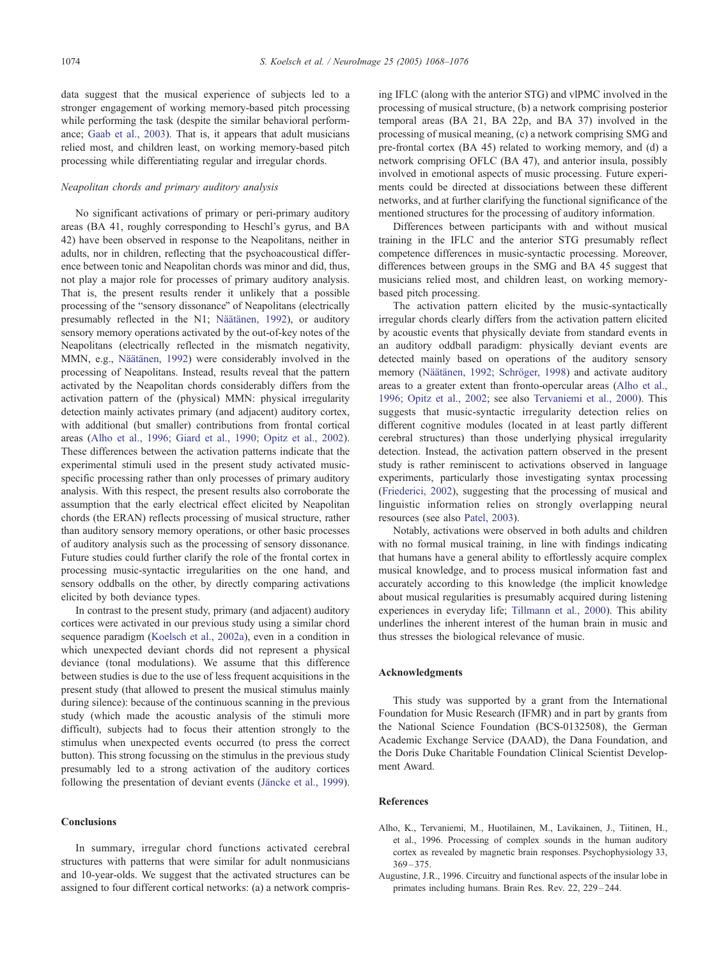<span id="page-6-0"></span>data suggest that the musical experience of subjects led to a stronger engagement of working memory-based pitch processing while performing the task (despite the similar behavioral performance; [Gaab et al., 2003\)](#page-7-0). That is, it appears that adult musicians relied most, and children least, on working memory-based pitch processing while differentiating regular and irregular chords.

# Neapolitan chords and primary auditory analysis

No significant activations of primary or peri-primary auditory areas (BA 41, roughly corresponding to Heschl's gyrus, and BA 42) have been observed in response to the Neapolitans, neither in adults, nor in children, reflecting that the psychoacoustical difference between tonic and Neapolitan chords was minor and did, thus, not play a major role for processes of primary auditory analysis. That is, the present results render it unlikely that a possible processing of the "sensory dissonance" of Neapolitans (electrically presumably reflected in the N1; Näätänen, 1992), or auditory sensory memory operations activated by the out-of-key notes of the Neapolitans (electrically reflected in the mismatch negativity, MMN, e.g., Näätänen, 1992) were considerably involved in the processing of Neapolitans. Instead, results reveal that the pattern activated by the Neapolitan chords considerably differs from the activation pattern of the (physical) MMN: physical irregularity detection mainly activates primary (and adjacent) auditory cortex, with additional (but smaller) contributions from frontal cortical areas (Alho et al., 1996; Giard et al., 1990; Opitz et al., 2002). These differences between the activation patterns indicate that the experimental stimuli used in the present study activated musicspecific processing rather than only processes of primary auditory analysis. With this respect, the present results also corroborate the assumption that the early electrical effect elicited by Neapolitan chords (the ERAN) reflects processing of musical structure, rather than auditory sensory memory operations, or other basic processes of auditory analysis such as the processing of sensory dissonance. Future studies could further clarify the role of the frontal cortex in processing music-syntactic irregularities on the one hand, and sensory oddballs on the other, by directly comparing activations elicited by both deviance types.

In contrast to the present study, primary (and adjacent) auditory cortices were activated in our previous study using a similar chord sequence paradigm ([Koelsch et al., 2002a\)](#page-7-0), even in a condition in which unexpected deviant chords did not represent a physical deviance (tonal modulations). We assume that this difference between studies is due to the use of less frequent acquisitions in the present study (that allowed to present the musical stimulus mainly during silence): because of the continuous scanning in the previous study (which made the acoustic analysis of the stimuli more difficult), subjects had to focus their attention strongly to the stimulus when unexpected events occurred (to press the correct button). This strong focussing on the stimulus in the previous study presumably led to a strong activation of the auditory cortices following the presentation of deviant events (Jäncke et al., 1999).

## Conclusions

In summary, irregular chord functions activated cerebral structures with patterns that were similar for adult nonmusicians and 10-year-olds. We suggest that the activated structures can be assigned to four different cortical networks: (a) a network comprising IFLC (along with the anterior STG) and vlPMC involved in the processing of musical structure, (b) a network comprising posterior temporal areas (BA 21, BA 22p, and BA 37) involved in the processing of musical meaning, (c) a network comprising SMG and pre-frontal cortex (BA 45) related to working memory, and (d) a network comprising OFLC (BA 47), and anterior insula, possibly involved in emotional aspects of music processing. Future experiments could be directed at dissociations between these different networks, and at further clarifying the functional significance of the mentioned structures for the processing of auditory information.

Differences between participants with and without musical training in the IFLC and the anterior STG presumably reflect competence differences in music-syntactic processing. Moreover, differences between groups in the SMG and BA 45 suggest that musicians relied most, and children least, on working memorybased pitch processing.

The activation pattern elicited by the music-syntactically irregular chords clearly differs from the activation pattern elicited by acoustic events that physically deviate from standard events in an auditory oddball paradigm: physically deviant events are detected mainly based on operations of the auditory sensory memory (Näätänen, 1992; Schröger, 1998) and activate auditory areas to a greater extent than fronto-opercular areas (Alho et al., 1996; Opitz et al., 2002; see also [Tervaniemi et al., 2000\)](#page-8-0). This suggests that music-syntactic irregularity detection relies on different cognitive modules (located in at least partly different cerebral structures) than those underlying physical irregularity detection. Instead, the activation pattern observed in the present study is rather reminiscent to activations observed in language experiments, particularly those investigating syntax processing ([Friederici, 2002\)](#page-7-0), suggesting that the processing of musical and linguistic information relies on strongly overlapping neural resources (see also [Patel, 2003\)](#page-8-0).

Notably, activations were observed in both adults and children with no formal musical training, in line with findings indicating that humans have a general ability to effortlessly acquire complex musical knowledge, and to process musical information fast and accurately according to this knowledge (the implicit knowledge about musical regularities is presumably acquired during listening experiences in everyday life; [Tillmann et al., 2000\)](#page-8-0). This ability underlines the inherent interest of the human brain in music and thus stresses the biological relevance of music.

#### Acknowledgments

This study was supported by a grant from the International Foundation for Music Research (IFMR) and in part by grants from the National Science Foundation (BCS-0132508), the German Academic Exchange Service (DAAD), the Dana Foundation, and the Doris Duke Charitable Foundation Clinical Scientist Development Award.

## References

- Alho, K., Tervaniemi, M., Huotilainen, M., Lavikainen, J., Tiitinen, H., et al., 1996. Processing of complex sounds in the human auditory cortex as revealed by magnetic brain responses. Psychophysiology 33,  $369 - 375$ .
- Augustine, J.R., 1996. Circuitry and functional aspects of the insular lobe in primates including humans. Brain Res. Rev. 22, 229 – 244.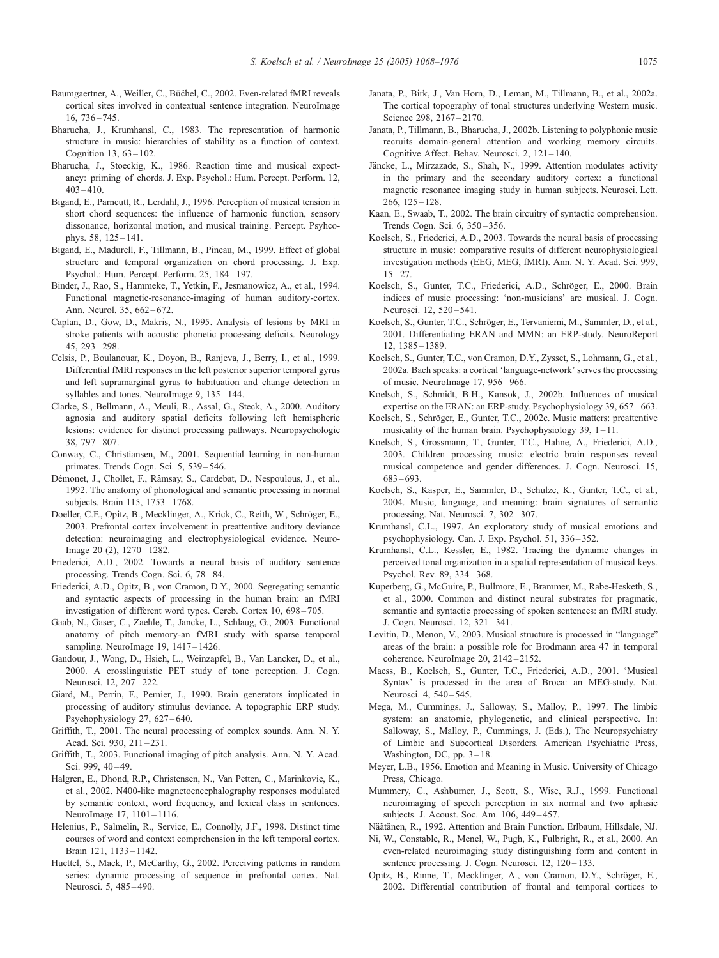- <span id="page-7-0"></span>Baumgaertner, A., Weiller, C., Büchel, C., 2002. Even-related fMRI reveals cortical sites involved in contextual sentence integration. NeuroImage 16, 736 – 745.
- Bharucha, J., Krumhansl, C., 1983. The representation of harmonic structure in music: hierarchies of stability as a function of context. Cognition  $13, 63 - 102$ .
- Bharucha, J., Stoeckig, K., 1986. Reaction time and musical expectancy: priming of chords. J. Exp. Psychol.: Hum. Percept. Perform. 12,  $403 - 410$
- Bigand, E., Parncutt, R., Lerdahl, J., 1996. Perception of musical tension in short chord sequences: the influence of harmonic function, sensory dissonance, horizontal motion, and musical training. Percept. Psyhcophys. 58, 125 – 141.
- Bigand, E., Madurell, F., Tillmann, B., Pineau, M., 1999. Effect of global structure and temporal organization on chord processing. J. Exp. Psychol.: Hum. Percept. Perform. 25, 184 – 197.
- Binder, J., Rao, S., Hammeke, T., Yetkin, F., Jesmanowicz, A., et al., 1994. Functional magnetic-resonance-imaging of human auditory-cortex. Ann. Neurol. 35, 662 – 672.
- Caplan, D., Gow, D., Makris, N., 1995. Analysis of lesions by MRI in stroke patients with acoustic–phonetic processing deficits. Neurology 45, 293 – 298.
- Celsis, P., Boulanouar, K., Doyon, B., Ranjeva, J., Berry, I., et al., 1999. Differential fMRI responses in the left posterior superior temporal gyrus and left supramarginal gyrus to habituation and change detection in syllables and tones. NeuroImage 9, 135-144.
- Clarke, S., Bellmann, A., Meuli, R., Assal, G., Steck, A., 2000. Auditory agnosia and auditory spatial deficits following left hemispheric lesions: evidence for distinct processing pathways. Neuropsychologie 38, 797 – 807.
- Conway, C., Christiansen, M., 2001. Sequential learning in non-human primates. Trends Cogn. Sci. 5, 539 – 546.
- Démonet, J., Chollet, F., Râmsay, S., Cardebat, D., Nespoulous, J., et al., 1992. The anatomy of phonological and semantic processing in normal subjects. Brain 115, 1753 – 1768.
- Doeller, C.F., Opitz, B., Mecklinger, A., Krick, C., Reith, W., Schröger, E., 2003. Prefrontal cortex involvement in preattentive auditory deviance detection: neuroimaging and electrophysiological evidence. Neuro-Image 20 (2), 1270-1282.
- Friederici, A.D., 2002. Towards a neural basis of auditory sentence processing. Trends Cogn. Sci. 6, 78 – 84.
- Friederici, A.D., Opitz, B., von Cramon, D.Y., 2000. Segregating semantic and syntactic aspects of processing in the human brain: an fMRI investigation of different word types. Cereb. Cortex 10, 698-705.
- Gaab, N., Gaser, C., Zaehle, T., Jancke, L., Schlaug, G., 2003. Functional anatomy of pitch memory-an fMRI study with sparse temporal sampling. NeuroImage 19, 1417-1426.
- Gandour, J., Wong, D., Hsieh, L., Weinzapfel, B., Van Lancker, D., et al., 2000. A crosslinguistic PET study of tone perception. J. Cogn. Neurosci. 12, 207 – 222.
- Giard, M., Perrin, F., Pernier, J., 1990. Brain generators implicated in processing of auditory stimulus deviance. A topographic ERP study. Psychophysiology 27, 627-640.
- Griffith, T., 2001. The neural processing of complex sounds. Ann. N. Y. Acad. Sci. 930, 211-231.
- Griffith, T., 2003. Functional imaging of pitch analysis. Ann. N. Y. Acad. Sci. 999, 40-49.
- Halgren, E., Dhond, R.P., Christensen, N., Van Petten, C., Marinkovic, K., et al., 2002. N400-like magnetoencephalography responses modulated by semantic context, word frequency, and lexical class in sentences. NeuroImage 17, 1101-1116.
- Helenius, P., Salmelin, R., Service, E., Connolly, J.F., 1998. Distinct time courses of word and context comprehension in the left temporal cortex. Brain 121, 1133 – 1142.
- Huettel, S., Mack, P., McCarthy, G., 2002. Perceiving patterns in random series: dynamic processing of sequence in prefrontal cortex. Nat. Neurosci. 5, 485 – 490.
- Janata, P., Birk, J., Van Horn, D., Leman, M., Tillmann, B., et al., 2002a. The cortical topography of tonal structures underlying Western music. Science 298, 2167-2170.
- Janata, P., Tillmann, B., Bharucha, J., 2002b. Listening to polyphonic music recruits domain-general attention and working memory circuits. Cognitive Affect. Behav. Neurosci. 2, 121 – 140.
- Jäncke, L., Mirzazade, S., Shah, N., 1999. Attention modulates activity in the primary and the secondary auditory cortex: a functional magnetic resonance imaging study in human subjects. Neurosci. Lett.  $266$ ,  $125 - 128$ .
- Kaan, E., Swaab, T., 2002. The brain circuitry of syntactic comprehension. Trends Cogn. Sci. 6, 350 – 356.
- Koelsch, S., Friederici, A.D., 2003. Towards the neural basis of processing structure in music: comparative results of different neurophysiological investigation methods (EEG, MEG, fMRI). Ann. N. Y. Acad. Sci. 999,  $15 - 27$ .
- Koelsch, S., Gunter, T.C., Friederici, A.D., Schröger, E., 2000. Brain indices of music processing: 'non-musicians' are musical. J. Cogn. Neurosci. 12, 520 – 541.
- Koelsch, S., Gunter, T.C., Schröger, E., Tervaniemi, M., Sammler, D., et al., 2001. Differentiating ERAN and MMN: an ERP-study. NeuroReport 12, 1385 – 1389.
- Koelsch, S., Gunter, T.C., von Cramon, D.Y., Zysset, S., Lohmann, G., et al., 2002a. Bach speaks: a cortical 'language-network' serves the processing of music. NeuroImage 17, 956 – 966.
- Koelsch, S., Schmidt, B.H., Kansok, J., 2002b. Influences of musical expertise on the ERAN: an ERP-study. Psychophysiology 39, 657 – 663.
- Koelsch, S., Schröger, E., Gunter, T.C., 2002c. Music matters: preattentive musicality of the human brain. Psychophysiology 39, 1-11.
- Koelsch, S., Grossmann, T., Gunter, T.C., Hahne, A., Friederici, A.D., 2003. Children processing music: electric brain responses reveal musical competence and gender differences. J. Cogn. Neurosci. 15,  $683 - 693$ .
- Koelsch, S., Kasper, E., Sammler, D., Schulze, K., Gunter, T.C., et al., 2004. Music, language, and meaning: brain signatures of semantic processing. Nat. Neurosci. 7, 302 – 307.
- Krumhansl, C.L., 1997. An exploratory study of musical emotions and psychophysiology. Can. J. Exp. Psychol. 51, 336 – 352.
- Krumhansl, C.L., Kessler, E., 1982. Tracing the dynamic changes in perceived tonal organization in a spatial representation of musical keys. Psychol. Rev. 89, 334 – 368.
- Kuperberg, G., McGuire, P., Bullmore, E., Brammer, M., Rabe-Hesketh, S., et al., 2000. Common and distinct neural substrates for pragmatic, semantic and syntactic processing of spoken sentences: an fMRI study. J. Cogn. Neurosci. 12, 321 – 341.
- Levitin, D., Menon, V., 2003. Musical structure is processed in "language" areas of the brain: a possible role for Brodmann area 47 in temporal coherence. NeuroImage 20, 2142 – 2152.
- Maess, B., Koelsch, S., Gunter, T.C., Friederici, A.D., 2001. 'Musical Syntax' is processed in the area of Broca: an MEG-study. Nat. Neurosci. 4, 540-545.
- Mega, M., Cummings, J., Salloway, S., Malloy, P., 1997. The limbic system: an anatomic, phylogenetic, and clinical perspective. In: Salloway, S., Malloy, P., Cummings, J. (Eds.), The Neuropsychiatry of Limbic and Subcortical Disorders. American Psychiatric Press, Washington, DC, pp. 3-18.
- Meyer, L.B., 1956. Emotion and Meaning in Music. University of Chicago Press, Chicago.
- Mummery, C., Ashburner, J., Scott, S., Wise, R.J., 1999. Functional neuroimaging of speech perception in six normal and two aphasic subjects. J. Acoust. Soc. Am. 106, 449 – 457.
- Näätänen, R., 1992. Attention and Brain Function. Erlbaum, Hillsdale, NJ.
- Ni, W., Constable, R., Mencl, W., Pugh, K., Fulbright, R., et al., 2000. An even-related neuroimaging study distinguishing form and content in sentence processing. J. Cogn. Neurosci. 12, 120-133.
- Opitz, B., Rinne, T., Mecklinger, A., von Cramon, D.Y., Schröger, E., 2002. Differential contribution of frontal and temporal cortices to